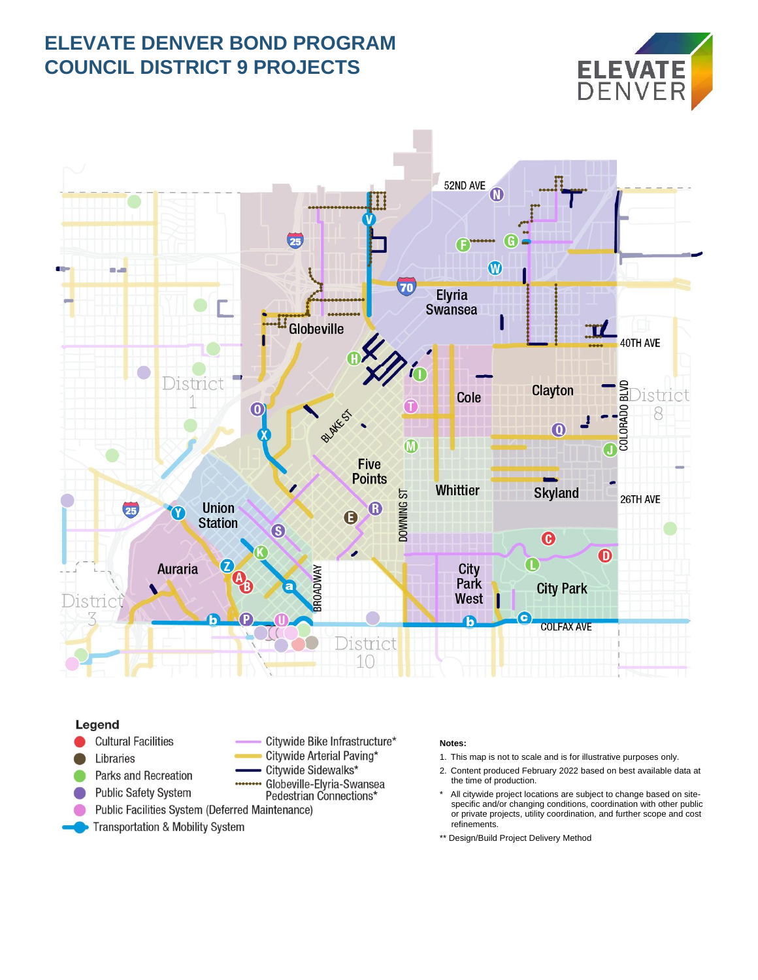## **ELEVATE DENVER BOND PROGRAM COUNCIL DISTRICT 9 PROJECTS**





## Legend

- **Cultural Facilities**
- Libraries
- Parks and Recreation **Public Safety System**
- Citywide Bike Infrastructure\* Citywide Arterial Paving\*
- Citywide Sidewalks\*
- Globeville-Elvria-Swansea Pedestrian Connections\*
- Public Facilities System (Deferred Maintenance)
- **Transportation & Mobility System**

## **Notes:**

- 1. This map is not to scale and is for illustrative purposes only.
- 2. Content produced February 2022 based on best available data at the time of production.
- All citywide project locations are subject to change based on sitespecific and/or changing conditions, coordination with other public or private projects, utility coordination, and further scope and cost refinements.
- \*\* Design/Build Project Delivery Method